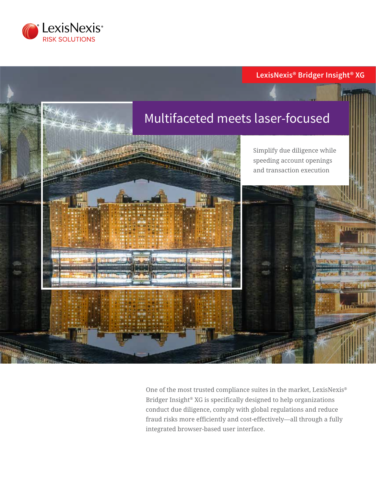

# **LexisNexis® Bridger Insight® XG**



One of the most trusted compliance suites in the market, LexisNexis® Bridger Insight® XG is specifically designed to help organizations conduct due diligence, comply with global regulations and reduce fraud risks more efficiently and cost-effectively—all through a fully integrated browser-based user interface.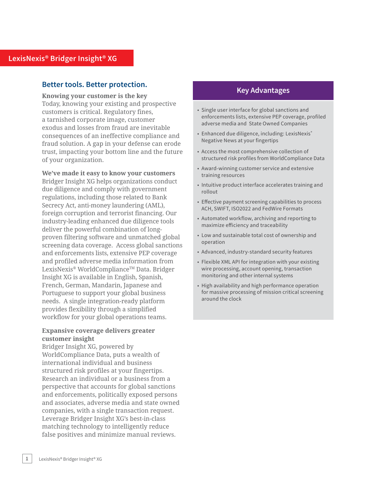### **Better tools. Better protection.**

#### **Knowing your customer is the key**

Today, knowing your existing and prospective customers is critical. Regulatory fines, a tarnished corporate image, customer exodus and losses from fraud are inevitable consequences of an ineffective compliance and fraud solution. A gap in your defense can erode trust, impacting your bottom line and the future of your organization.

#### **We've made it easy to know your customers**

Bridger Insight XG helps organizations conduct due diligence and comply with government regulations, including those related to Bank Secrecy Act, anti-money laundering (AML), foreign corruption and terrorist financing. Our industry-leading enhanced due diligence tools deliver the powerful combination of longproven filtering software and unmatched global screening data coverage. Access global sanctions and enforcements lists, extensive PEP coverage and profiled adverse media information from LexisNexis® WorldCompliance™ Data. Bridger Insight XG is available in English, Spanish, French, German, Mandarin, Japanese and Portuguese to support your global business needs. A single integration-ready platform provides flexibility through a simplified workflow for your global operations teams.

#### **Expansive coverage delivers greater customer insight**

Bridger Insight XG, powered by WorldCompliance Data, puts a wealth of international individual and business structured risk profiles at your fingertips. Research an individual or a business from a perspective that accounts for global sanctions and enforcements, politically exposed persons and associates, adverse media and state owned companies, with a single transaction request. Leverage Bridger Insight XG's best-in-class matching technology to intelligently reduce false positives and minimize manual reviews.

### **Key Advantages**

- Single user interface for global sanctions and enforcements lists, extensive PEP coverage, profiled adverse media and State Owned Companies
- Enhanced due diligence, including: LexisNexis® Negative News at your fingertips
- Access the most comprehensive collection of structured risk profiles from WorldCompliance Data
- Award-winning customer service and extensive training resources
- Intuitive product interface accelerates training and rollout
- Effective payment screening capabilities to process ACH, SWIFT, ISO2022 and FedWire Formats
- Automated workflow, archiving and reporting to maximize efficiency and traceability
- Low and sustainable total cost of ownership and operation
- Advanced, industry-standard security features
- Flexible XML API for integration with your existing wire processing, account opening, transaction monitoring and other internal systems
- High availability and high performance operation for massive processing of mission critical screening around the clock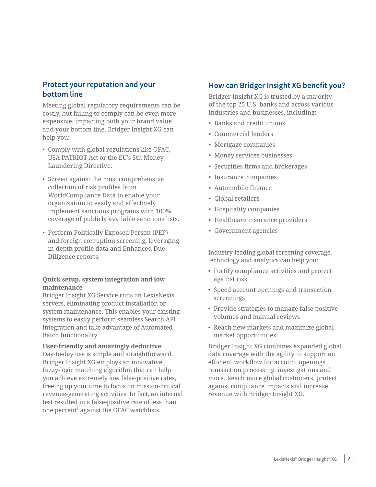## **Protect your reputation and your bottom line**

Meeting global regulatory requirements can be costly, but failing to comply can be even more expensive, impacting both your brand value and your bottom line. Bridger Insight XG can help you:

- Comply with global regulations like OFAC, USA PATRIOT Act or the EU's 5th Money Laundering Directive.
- Screen against the most comprehensive collection of risk profiles from WorldCompliance Data to enable your organization to easily and effectively implement sanctions programs with 100% coverage of publicly available sanctions lists.
- Perform Politically Exposed Person (PEP) and foreign corruption screening, leveraging in-depth profile data and Enhanced Due Diligence reports.

### **Quick setup, system integration and low maintenance**

Bridger Insight XG Service runs on LexisNexis servers, eliminating product installation or system maintenance. This enables your existing systems to easily perform seamless Search API integration and take advantage of Automated Batch functionality.

#### **User-friendly and amazingly deductive**

Day-to-day use is simple and straightforward. Bridger Insight XG employs an innovative fuzzy-logic matching algorithm that can help you achieve extremely low false-positive rates, freeing up your time to focus on mission-critical revenue-generating activities. In fact, an internal test resulted in a false-positive rate of less than one percent<sup>1</sup> against the OFAC watchlists.

### **How can Bridger Insight XG benefit you?**

Bridger Insight XG is trusted by a majority of the top 25 U.S. banks and across various industries and businesses, including:

- Banks and credit unions
- Commercial lenders
- Mortgage companies
- Money services businesses
- Securities firms and brokerages
- Insurance companies
- Automobile finance
- Global retailers
- Hospitality companies
- Healthcare insurance providers
- Government agencies

Industry-leading global screening coverage, technology and analytics can help you:

- Fortify compliance activities and protect against risk
- Speed account openings and transaction screenings
- Provide strategies to manage false positive volumes and manual reviews
- Reach new markets and maximize global market opportunities

Bridger Insight XG combines expanded global data coverage with the agility to support an efficient workflow for account openings, transaction processing, investigations and more. Reach more global customers, protect against compliance impacts and increase revenue with Bridger Insight XG.